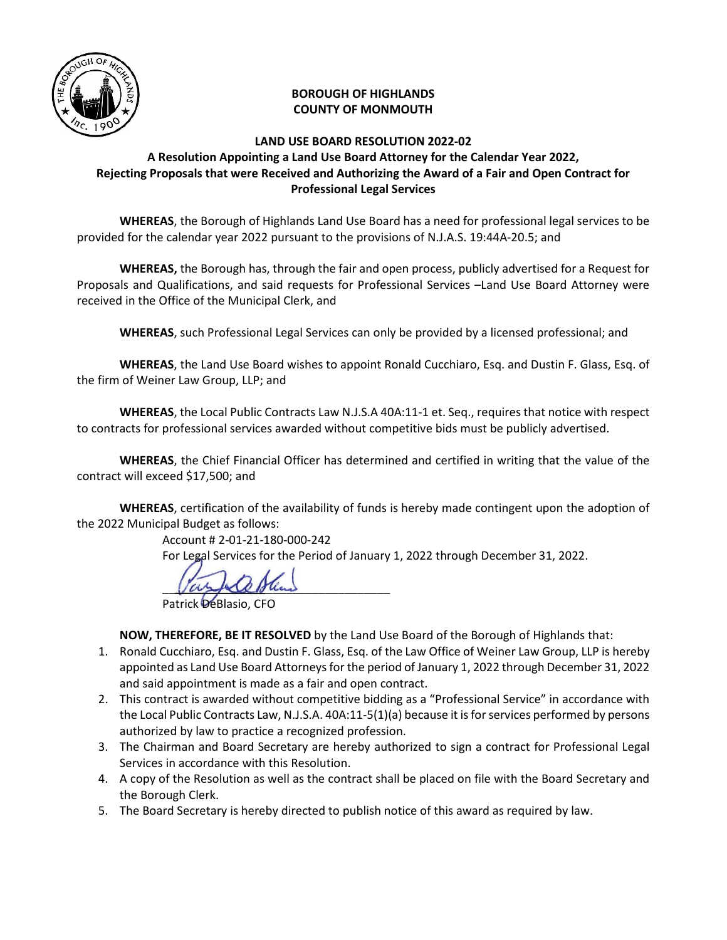

## **BOROUGH OF HIGHLANDS COUNTY OF MONMOUTH**

## **LAND USE BOARD RESOLUTION 2022-02 A Resolution Appointing a Land Use Board Attorney for the Calendar Year 2022, Rejecting Proposals that were Received and Authorizing the Award of a Fair and Open Contract for Professional Legal Services**

 **WHEREAS**, the Borough of Highlands Land Use Board has a need for professional legal services to be provided for the calendar year 2022 pursuant to the provisions of N.J.A.S. 19:44A-20.5; and

**WHEREAS,** the Borough has, through the fair and open process, publicly advertised for a Request for Proposals and Qualifications, and said requests for Professional Services –Land Use Board Attorney were received in the Office of the Municipal Clerk, and

**WHEREAS**, such Professional Legal Services can only be provided by a licensed professional; and

**WHEREAS**, the Land Use Board wishes to appoint Ronald Cucchiaro, Esq. and Dustin F. Glass, Esq. of the firm of Weiner Law Group, LLP; and

**WHEREAS**, the Local Public Contracts Law N.J.S.A 40A:11-1 et. Seq., requires that notice with respect to contracts for professional services awarded without competitive bids must be publicly advertised.

**WHEREAS**, the Chief Financial Officer has determined and certified in writing that the value of the contract will exceed \$17,500; and

**WHEREAS**, certification of the availability of funds is hereby made contingent upon the adoption of the 2022 Municipal Budget as follows:

Account # 2-01-21-180-000-242

For Legal Services for the Period of January 1, 2022 through December 31, 2022.

 $\sqrt{a\lambda}A\Omega R_{\rm in}$ 

Patrick DeBlasio, CFO

**NOW, THEREFORE, BE IT RESOLVED** by the Land Use Board of the Borough of Highlands that:

- 1. Ronald Cucchiaro, Esq. and Dustin F. Glass, Esq. of the Law Office of Weiner Law Group, LLP is hereby appointed as Land Use Board Attorneys for the period of January 1, 2022 through December 31, 2022 and said appointment is made as a fair and open contract.
- 2. This contract is awarded without competitive bidding as a "Professional Service" in accordance with the Local Public Contracts Law, N.J.S.A. 40A:11-5(1)(a) because it is for services performed by persons authorized by law to practice a recognized profession.
- 3. The Chairman and Board Secretary are hereby authorized to sign a contract for Professional Legal Services in accordance with this Resolution.
- 4. A copy of the Resolution as well as the contract shall be placed on file with the Board Secretary and the Borough Clerk.
- 5. The Board Secretary is hereby directed to publish notice of this award as required by law.